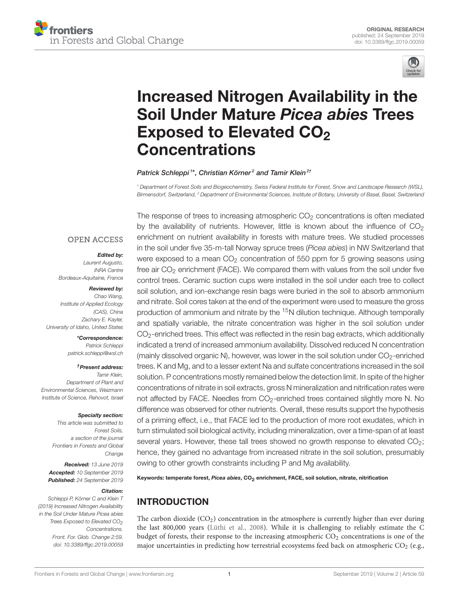



# [Increased Nitrogen Availability in the](https://www.frontiersin.org/articles/10.3389/ffgc.2019.00059/full) Soil Under Mature Picea abies Trees Exposed to Elevated CO<sub>2</sub> **Concentrations**

#### [Patrick Schleppi](http://loop.frontiersin.org/people/699802/overview)<sup>1\*</sup>, [Christian Körner](http://loop.frontiersin.org/people/21718/overview)<sup>2</sup> and [Tamir Klein](http://loop.frontiersin.org/people/205819/overview)<sup>2†</sup>

<sup>1</sup> Department of Forest Soils and Biogeochemistry, Swiss Federal Institute for Forest, Snow and Landscape Research (WSL), Birmensdorf, Switzerland, <sup>2</sup> Department of Environmental Sciences, Institute of Botany, University of Basel, Basel, Switzerland

#### **OPEN ACCESS**

#### Edited by:

Laurent Augusto, INRA Centre Bordeaux-Aquitaine, France

#### Reviewed by:

Chao Wang, Institute of Applied Ecology (CAS), China Zachary E. Kayler, University of Idaho, United States

#### \*Correspondence:

Patrick Schleppi [patrick.schleppi@wsl.ch](mailto:patrick.schleppi@wsl.ch)

#### †Present address:

Tamir Klein, Department of Plant and Environmental Sciences, Weizmann Institute of Science, Rehovot, Israel

#### Specialty section:

This article was submitted to Forest Soils, a section of the journal Frontiers in Forests and Global Change

Received: 13 June 2019 Accepted: 10 September 2019 Published: 24 September 2019

#### Citation:

Schleppi P, Körner C and Klein T (2019) Increased Nitrogen Availability in the Soil Under Mature Picea abies Trees Exposed to Elevated  $CO<sub>2</sub>$ Concentrations. Front. For. Glob. Change 2:59. doi: [10.3389/ffgc.2019.00059](https://doi.org/10.3389/ffgc.2019.00059) The response of trees to increasing atmospheric  $CO<sub>2</sub>$  concentrations is often mediated by the availability of nutrients. However, little is known about the influence of  $CO<sub>2</sub>$ enrichment on nutrient availability in forests with mature trees. We studied processes in the soil under five 35-m-tall Norway spruce trees (Picea abies) in NW Switzerland that were exposed to a mean  $CO<sub>2</sub>$  concentration of 550 ppm for 5 growing seasons using free air  $CO<sub>2</sub>$  enrichment (FACE). We compared them with values from the soil under five control trees. Ceramic suction cups were installed in the soil under each tree to collect soil solution, and ion-exchange resin bags were buried in the soil to absorb ammonium and nitrate. Soil cores taken at the end of the experiment were used to measure the gross production of ammonium and nitrate by the <sup>15</sup>N dilution technique. Although temporally and spatially variable, the nitrate concentration was higher in the soil solution under CO2-enriched trees. This effect was reflected in the resin bag extracts, which additionally indicated a trend of increased ammonium availability. Dissolved reduced N concentration (mainly dissolved organic N), however, was lower in the soil solution under  $CO_2$ -enriched trees. K and Mg, and to a lesser extent Na and sulfate concentrations increased in the soil solution. P concentrations mostly remained below the detection limit. In spite of the higher concentrations of nitrate in soil extracts, gross N mineralization and nitrification rates were not affected by FACE. Needles from CO<sub>2</sub>-enriched trees contained slightly more N. No difference was observed for other nutrients. Overall, these results support the hypothesis of a priming effect, i.e., that FACE led to the production of more root exudates, which in turn stimulated soil biological activity, including mineralization, over a time-span of at least several years. However, these tall trees showed no growth response to elevated CO<sub>2</sub>; hence, they gained no advantage from increased nitrate in the soil solution, presumably owing to other growth constraints including P and Mg availability.

Keywords: temperate forest, Picea abies, CO<sub>2</sub> enrichment, FACE, soil solution, nitrate, nitrification

# INTRODUCTION

The carbon dioxide  $(CO<sub>2</sub>)$  concentration in the atmosphere is currently higher than ever during the last 800,000 years [\(Lüthi et al., 2008\)](#page-9-0). While it is challenging to reliably estimate the C budget of forests, their response to the increasing atmospheric  $CO<sub>2</sub>$  concentrations is one of the major uncertainties in predicting how terrestrial ecosystems feed back on atmospheric  $CO<sub>2</sub>$  (e.g.,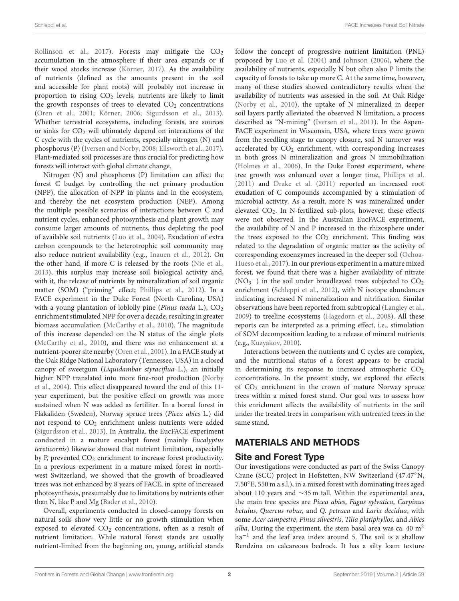[Rollinson et al., 2017\)](#page-10-0). Forests may mitigate the  $CO<sub>2</sub>$ accumulation in the atmosphere if their area expands or if their wood stocks increase [\(Körner, 2017\)](#page-9-1). As the availability of nutrients (defined as the amounts present in the soil and accessible for plant roots) will probably not increase in proportion to rising  $CO<sub>2</sub>$  levels, nutrients are likely to limit the growth responses of trees to elevated  $CO<sub>2</sub>$  concentrations [\(Oren et al., 2001;](#page-10-1) [Körner, 2006;](#page-9-2) [Sigurdsson et al., 2013\)](#page-10-2). Whether terrestrial ecosystems, including forests, are sources or sinks for CO<sub>2</sub> will ultimately depend on interactions of the C cycle with the cycles of nutrients, especially nitrogen (N) and phosphorus (P) [\(Iversen and Norby, 2008;](#page-9-3) [Ellsworth et al., 2017\)](#page-9-4). Plant-mediated soil processes are thus crucial for predicting how forests will interact with global climate change.

Nitrogen (N) and phosphorus (P) limitation can affect the forest C budget by controlling the net primary production (NPP), the allocation of NPP in plants and in the ecosystem, and thereby the net ecosystem production (NEP). Among the multiple possible scenarios of interactions between C and nutrient cycles, enhanced photosynthesis and plant growth may consume larger amounts of nutrients, thus depleting the pool of available soil nutrients [\(Luo et al., 2004\)](#page-9-5). Exudation of extra carbon compounds to the heterotrophic soil community may also reduce nutrient availability (e.g., [Inauen et al., 2012\)](#page-9-6). On the other hand, if more C is released by the roots [\(Nie et al.,](#page-10-3) [2013\)](#page-10-3), this surplus may increase soil biological activity and, with it, the release of nutrients by mineralization of soil organic matter (SOM) ("priming" effect; [Phillips et al., 2012\)](#page-10-4). In a FACE experiment in the Duke Forest (North Carolina, USA) with a young plantation of loblolly pine (Pinus taeda L.),  $CO<sub>2</sub>$ enrichment stimulated NPP for over a decade, resulting in greater biomass accumulation [\(McCarthy et al., 2010\)](#page-9-7). The magnitude of this increase depended on the N status of the single plots [\(McCarthy et al., 2010\)](#page-9-7), and there was no enhancement at a nutrient-poorer site nearby [\(Oren et al., 2001\)](#page-10-1). In a FACE study at the Oak Ridge National Laboratory (Tennessee, USA) in a closed canopy of sweetgum (Liquidambar styraciflua L.), an initially higher NPP translated into more fine-root production (Norby et al., [2004\)](#page-10-5). This effect disappeared toward the end of this 11 year experiment, but the positive effect on growth was more sustained when N was added as fertiliter. In a boreal forest in Flakaliden (Sweden), Norway spruce trees (Picea abies L.) did not respond to  $CO<sub>2</sub>$  enrichment unless nutrients were added [\(Sigurdsson et al., 2013\)](#page-10-2). In Australia, the EucFACE experiment conducted in a mature eucalypt forest (mainly Eucalyptus tereticornis) likewise showed that nutrient limitation, especially by P, prevented CO<sub>2</sub> enrichment to increase forest productivity. In a previous experiment in a mature mixed forest in northwest Switzerland, we showed that the growth of broadleaved trees was not enhanced by 8 years of FACE, in spite of increased photosynthesis, presumably due to limitations by nutrients other than N, like P and Mg [\(Bader et al., 2010\)](#page-9-8).

Overall, experiments conducted in closed-canopy forests on natural soils show very little or no growth stimulation when exposed to elevated  $CO<sub>2</sub>$  concentrations, often as a result of nutrient limitation. While natural forest stands are usually nutrient-limited from the beginning on, young, artificial stands follow the concept of progressive nutrient limitation (PNL) proposed by [Luo et al. \(2004\)](#page-9-5) and [Johnson \(2006\)](#page-9-9), where the availability of nutrients, especially N but often also P limits the capacity of forests to take up more C. At the same time, however, many of these studies showed contradictory results when the availability of nutrients was assessed in the soil. At Oak Ridge [\(Norby et al., 2010\)](#page-10-6), the uptake of N mineralized in deeper soil layers partly alleviated the observed N limitation, a process described as "N-mining" [\(Iversen et al., 2011\)](#page-9-10). In the Aspen-FACE experiment in Wisconsin, USA, where trees were grown from the seedling stage to canopy closure, soil N turnover was accelerated by  $CO<sub>2</sub>$  enrichment, with corresponding increases in both gross N mineralization and gross N immobilization [\(Holmes et al., 2006\)](#page-9-11). In the Duke Forest experiment, where tree growth was enhanced over a longer time, [Phillips et al.](#page-10-7) [\(2011\)](#page-10-7) and [Drake et al. \(2011\)](#page-9-12) reported an increased root exudation of C compounds accompanied by a stimulation of microbial activity. As a result, more N was mineralized under elevated CO<sub>2</sub>. In N-fertilized sub-plots, however, these effects were not observed. In the Australian EucFACE experiment, the availability of N and P increased in the rhizosphere under the trees exposed to the  $CO<sub>2</sub>$  enrichment. This finding was related to the degradation of organic matter as the activity of corresponding exoenzymes increased in the deeper soil (Ochoa-Hueso et al., [2017\)](#page-10-8). In our previous experiment in a mature mixed forest, we found that there was a higher availability of nitrate (NO<sub>3</sub><sup>-</sup>) in the soil under broadleaved trees subjected to CO<sub>2</sub> enrichment [\(Schleppi et al., 2012\)](#page-10-9), with N isotope abundances indicating increased N mineralization and nitrification. Similar observations have been reported from subtropical [\(Langley et al.,](#page-9-13) [2009\)](#page-9-13) to treeline ecosystems [\(Hagedorn et al., 2008\)](#page-9-14). All these reports can be interpreted as a priming effect, i.e., stimulation of SOM decomposition leading to a release of mineral nutrients (e.g., [Kuzyakov, 2010\)](#page-9-15).

Interactions between the nutrients and C cycles are complex, and the nutritional status of a forest appears to be crucial in determining its response to increased atmospheric  $CO<sub>2</sub>$ concentrations. In the present study, we explored the effects of CO<sup>2</sup> enrichment in the crown of mature Norway spruce trees within a mixed forest stand. Our goal was to assess how this enrichment affects the availability of nutrients in the soil under the treated trees in comparison with untreated trees in the same stand.

# MATERIALS AND METHODS

# Site and Forest Type

Our investigations were conducted as part of the Swiss Canopy Crane (SCC) project in Hofstetten, NW Switzerland (47.47◦N, 7.50◦E, 550 m a.s.l.), in a mixed forest with dominating trees aged about 110 years and ∼35 m tall. Within the experimental area, the main tree species are Picea abies, Fagus sylvatica, Carpinus betulus, Quercus robur, and Q. petraea and Larix decidua, with some Acer campestre, Pinus silvestris, Tilia platiphyllos, and Abies alba. During the experiment, the stem basal area was ca. 40  $m<sup>2</sup>$ ha<sup>-1</sup> and the leaf area index around 5. The soil is a shallow Rendzina on calcareous bedrock. It has a silty loam texture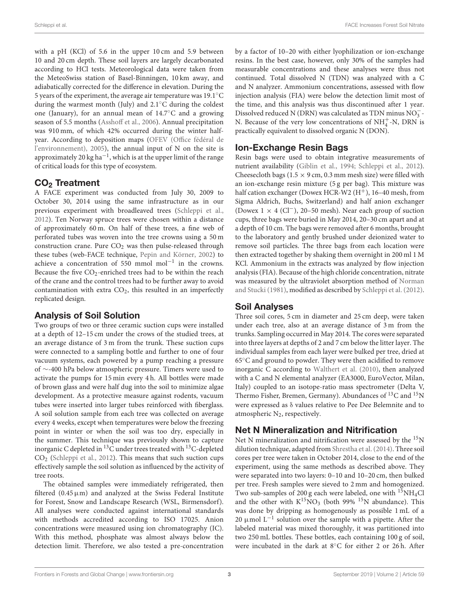with a pH (KCl) of 5.6 in the upper 10 cm and 5.9 between 10 and 20 cm depth. These soil layers are largely decarbonated according to HCl tests. Meteorological data were taken from the MeteoSwiss station of Basel-Binningen, 10 km away, and adiabatically corrected for the difference in elevation. During the 5 years of the experiment, the average air temperature was 19.1◦C during the warmest month (July) and 2.1◦C during the coldest one (January), for an annual mean of 14.7◦C and a growing season of 5.5 months [\(Asshoff et al., 2006\)](#page-9-16). Annual precipitation was 910 mm, of which 42% occurred during the winter halfyear. According to deposition maps (OFEV (Office fédéral de l'environnement), [2005\)](#page-10-10), the annual input of N on the site is approximately 20 kg ha $^{-1}$ , which is at the upper limit of the range of critical loads for this type of ecosystem.

# CO<sup>2</sup> Treatment

A FACE experiment was conducted from July 30, 2009 to October 30, 2014 using the same infrastructure as in our previous experiment with broadleaved trees [\(Schleppi et al.,](#page-10-9) [2012\)](#page-10-9). Ten Norway spruce trees were chosen within a distance of approximately 60 m. On half of these trees, a fine web of perforated tubes was woven into the tree crowns using a 50 m construction crane. Pure  $CO<sub>2</sub>$  was then pulse-released through these tubes (web-FACE technique, [Pepin and Körner, 2002\)](#page-10-11) to achieve a concentration of 550 mmol mol−<sup>1</sup> in the crowns. Because the five  $CO<sub>2</sub>$ -enriched trees had to be within the reach of the crane and the control trees had to be further away to avoid contamination with extra  $CO<sub>2</sub>$ , this resulted in an imperfectly replicated design.

# Analysis of Soil Solution

Two groups of two or three ceramic suction cups were installed at a depth of 12–15 cm under the crows of the studied trees, at an average distance of 3 m from the trunk. These suction cups were connected to a sampling bottle and further to one of four vacuum systems, each powered by a pump reaching a pressure of ∼-400 hPa below atmospheric pressure. Timers were used to activate the pumps for 15 min every 4 h. All bottles were made of brown glass and were half dug into the soil to minimize algae development. As a protective measure against rodents, vacuum tubes were inserted into larger tubes reinforced with fiberglass. A soil solution sample from each tree was collected on average every 4 weeks, except when temperatures were below the freezing point in winter or when the soil was too dry, especially in the summer. This technique was previously shown to capture inorganic C depleted in <sup>13</sup>C under trees treated with <sup>13</sup>C-depleted CO<sup>2</sup> [\(Schleppi et al., 2012\)](#page-10-9). This means that such suction cups effectively sample the soil solution as influenced by the activity of tree roots.

The obtained samples were immediately refrigerated, then filtered  $(0.45 \mu m)$  and analyzed at the Swiss Federal Institute for Forest, Snow and Landscape Research (WSL, Birmensdorf). All analyses were conducted against international standards with methods accredited according to ISO 17025. Anion concentrations were measured using ion chromatography (IC). With this method, phosphate was almost always below the detection limit. Therefore, we also tested a pre-concentration by a factor of 10–20 with either lyophilization or ion-exchange resins. In the best case, however, only 30% of the samples had measurable concentrations and these analyses were thus not continued. Total dissolved N (TDN) was analyzed with a C and N analyzer. Ammonium concentrations, assessed with flow injection analysis (FIA) were below the detection limit most of the time, and this analysis was thus discontinued after 1 year. Dissolved reduced N (DRN) was calculated as TDN minus  $\mathrm{NO_3^-}$ N. Because of the very low concentrations of  $NH_4^+$ -N, DRN is practically equivalent to dissolved organic N (DON).

# Ion-Exchange Resin Bags

Resin bags were used to obtain integrative measurements of nutrient availability [\(Giblin et al., 1994;](#page-9-17) [Schleppi et al., 2012\)](#page-10-9). Cheesecloth bags ( $1.5 \times 9$  cm, 0.3 mm mesh size) were filled with an ion-exchange resin mixture (5 g per bag). This mixture was half cation exchanger (Dowex HCR-W2  $(H<sup>+</sup>)$ , 16–40 mesh, from Sigma Aldrich, Buchs, Switzerland) and half anion exchanger (Dowex  $1 \times 4$  (Cl<sup>-</sup>), 20–50 mesh). Near each group of suction cups, three bags were buried in May 2014, 20–30 cm apart and at a depth of 10 cm. The bags were removed after 6 months, brought to the laboratory and gently brushed under deionized water to remove soil particles. The three bags from each location were then extracted together by shaking them overnight in 200 ml 1 M KCl. Ammonium in the extracts was analyzed by flow injection analysis (FIA). Because of the high chloride concentration, nitrate was measured by the ultraviolet absorption method of Norman and Stucki [\(1981\)](#page-10-12), modified as described by [Schleppi et al. \(2012\)](#page-10-9).

# Soil Analyses

Three soil cores, 5 cm in diameter and 25 cm deep, were taken under each tree, also at an average distance of 3 m from the trunks. Sampling occurred in May 2014. The cores were separated into three layers at depths of 2 and 7 cm below the litter layer. The individual samples from each layer were bulked per tree, dried at 65◦C and ground to powder. They were then acidified to remove inorganic C according to [Walthert et al. \(2010\)](#page-10-13), then analyzed with a C and N elemental analyzer (EA3000, EuroVector, Milan, Italy) coupled to an isotope-ratio mass spectrometer (Delta V, Thermo Fisher, Bremen, Germany). Abundances of  $^{13}$ C and  $^{15}$ N were expressed as δ values relative to Pee Dee Belemnite and to atmospheric  $N_2$ , respectively.

# Net N Mineralization and Nitrification

Net N mineralization and nitrification were assessed by the  $15N$ dilution technique, adapted from [Shrestha et al. \(2014\)](#page-10-14). Three soil cores per tree were taken in October 2014, close to the end of the experiment, using the same methods as described above. They were separated into two layers: 0–10 and 10–20 cm, then bulked per tree. Fresh samples were sieved to 2 mm and homogenized. Two sub-samples of 200 g each were labeled, one with  $^{15}NH<sub>4</sub>Cl$ and the other with  $K^{15}NO<sub>3</sub>$  (both 99%  $^{15}N$  abundance). This was done by dripping as homogenously as possible 1 mL of a 20 μmol L<sup>-1</sup> solution over the sample with a pipette. After the labeled material was mixed thoroughly, it was partitioned into two 250 mL bottles. These bottles, each containing 100 g of soil, were incubated in the dark at 8◦C for either 2 or 26 h. After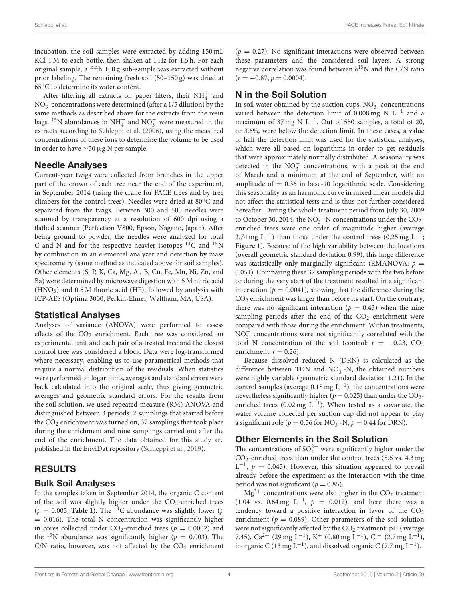incubation, the soil samples were extracted by adding 150 mL KCl 1 M to each bottle, then shaken at 1 Hz for 1.5 h. For each original sample, a fifth 100 g sub-sample was extracted without prior labeling. The remaining fresh soil (50–150 g) was dried at 65◦C to determine its water content.

After filtering all extracts on paper filters, their  $\mathrm{NH}_4^+$  and NO<sub>3</sub> concentrations were determined (after a 1/5 dilution) by the same methods as described above for the extracts from the resin bags. <sup>15</sup>N abundances in NH<sup>+</sup><sub>4</sub> and NO<sub>3</sub> were measured in the extracts according to [Schleppi et al. \(2006\)](#page-10-15), using the measured concentrations of these ions to determine the volume to be used in order to have ∼50 µg N per sample.

## Needle Analyses

Current-year twigs were collected from branches in the upper part of the crown of each tree near the end of the experiment, in September 2014 (using the crane for FACE trees and by tree climbers for the control trees). Needles were dried at 80◦C and separated from the twigs. Between 300 and 500 needles were scanned by transparency at a resolution of 600 dpi using a flatbed scanner (Perfection V800, Epson, Nagano, Japan). After being ground to powder, the needles were analyzed for total C and N and for the respective heavier isotopes  $^{13}$ C and  $^{15}$ N by combustion in an elemental analyzer and detection by mass spectrometry (same method as indicated above for soil samples). Other elements (S, P, K, Ca, Mg, Al, B, Cu, Fe, Mn, Ni, Zn, and Ba) were determined by microwave digestion with 5 M nitric acid  $(HNO<sub>3</sub>)$  and 0.5 M fluoric acid (HF), followed by analysis with ICP-AES (Optima 3000, Perkin-Elmer, Waltham, MA, USA).

#### Statistical Analyses

Analyses of variance (ANOVA) were performed to assess effects of the  $CO<sub>2</sub>$  enrichment. Each tree was considered an experimental unit and each pair of a treated tree and the closest control tree was considered a block. Data were log-transformed where necessary, enabling us to use parametrical methods that require a normal distribution of the residuals. When statistics were performed on logarithms, averages and standard errors were back calculated into the original scale, thus giving geometric averages and geometric standard errors. For the results from the soil solution, we used repeated-measure (RM) ANOVA and distinguished between 3 periods: 2 samplings that started before the  $CO<sub>2</sub>$  enrichment was turned on, 37 samplings that took place during the enrichment and nine samplings carried out after the end of the enrichment. The data obtained for this study are published in the EnviDat repository [\(Schleppi et al., 2019\)](#page-10-16).

# RESULTS

#### Bulk Soil Analyses

In the samples taken in September 2014, the organic C content of the soil was slightly higher under the  $CO_2$ -enriched trees ( $p = 0.005$ , **[Table 1](#page-4-0)**). The <sup>13</sup>C abundance was slightly lower ( $p$  $= 0.016$ ). The total N concentration was significantly higher in cores collected under  $CO_2$ -enriched trees ( $p = 0.0002$ ) and the <sup>15</sup>N abundance was significantly higher ( $p = 0.003$ ). The C/N ratio, however, was not affected by the  $CO<sub>2</sub>$  enrichment  $(p = 0.27)$ . No significant interactions were observed between these parameters and the considered soil layers. A strong negative correlation was found between  $\delta^{15}N$  and the C/N ratio  $(r = -0.87, p = 0.0004).$ 

# N in the Soil Solution

In soil water obtained by the suction cups,  $NO<sub>3</sub><sup>-</sup>$  concentrations varied between the detection limit of 0.008 mg N L−<sup>1</sup> and a maximum of 37 mg N L<sup>-1</sup>. Out of 550 samples, a total of 20, or 3.6%, were below the detection limit. In these cases, a value of half the detection limit was used for the statistical analyses, which were all based on logarithms in order to get residuals that were approximately normally distributed. A seasonality was detected in the  $NO<sub>3</sub><sup>-</sup>$  concentrations, with a peak at the end of March and a minimum at the end of September, with an amplitude of  $\pm$  0.36 in base-10 logarithmic scale. Considering this seasonality as an harmonic curve in mixed linear models did not affect the statistical tests and is thus not further considered hereafter. During the whole treatment period from July 30, 2009 to October 30, 2014, the NO<sub>3</sub> -N concentrations under the CO<sub>2</sub>enriched trees were one order of magnitude higher (average 2.74 mg L<sup>-1</sup>) than those under the control trees (0.25 mg L<sup>-1</sup>; **[Figure 1](#page-4-1)**). Because of the high variability between the locations (overall geometric standard deviation 0.99), this large difference was statistically only marginally significant (RMANOVA:  $p =$ 0.051). Comparing these 37 sampling periods with the two before or during the very start of the treatment resulted in a significant interaction ( $p = 0.0041$ ), showing that the difference during the CO<sup>2</sup> enrichment was larger than before its start. On the contrary, there was no significant interaction ( $p = 0.43$ ) when the nine sampling periods after the end of the  $CO<sub>2</sub>$  enrichment were compared with those during the enrichment. Within treatments,  $NO<sub>3</sub><sup>-</sup>$  concentrations were not significantly correlated with the total N concentration of the soil (control:  $r = -0.23$ , CO<sub>2</sub> enrichment:  $r = 0.26$ ).

Because dissolved reduced N (DRN) is calculated as the difference between TDN and  $NO_3^-$ -N, the obtained numbers were highly variable (geometric standard deviation 1.21). In the control samples (average  $0.18$  mg L<sup>-1</sup>), the concentrations were nevertheless significantly higher ( $p = 0.025$ ) than under the CO<sub>2</sub>enriched trees (0.02 mg L<sup>-1</sup>). When tested as a covariate, the water volume collected per suction cup did not appear to play a significant role ( $p = 0.56$  for NO<sub>3</sub><sup>-</sup>N,  $p = 0.44$  for DRN).

## Other Elements in the Soil Solution

The concentrations of  $\mathrm{SO}_4^{2-}$  were significantly higher under the CO2-enriched trees than under the control trees (5.6 vs. 4.3 mg  $L^{-1}$ ,  $p = 0.045$ ). However, this situation appeared to prevail already before the experiment as the interaction with the time period was not significant ( $p = 0.85$ ).

 $Mg^{2+}$  concentrations were also higher in the  $CO<sub>2</sub>$  treatment  $(1.04 \text{ vs. } 0.64 \text{ mg } L^{-1}, p = 0.012)$ , and here there was a tendency toward a positive interaction in favor of the  $CO<sub>2</sub>$ enrichment ( $p = 0.089$ ). Other parameters of the soil solution were not significantly affected by the  $CO<sub>2</sub>$  treatment: pH (average 7.45),  $Ca^{2+}$  (29 mg L<sup>-1</sup>), K<sup>+</sup> (0.80 mg L<sup>-1</sup>), Cl<sup>-</sup> (2.7 mg L<sup>-1</sup>), inorganic C (13 mg L<sup>-1</sup>), and dissolved organic C (7.7 mg L<sup>-1</sup>).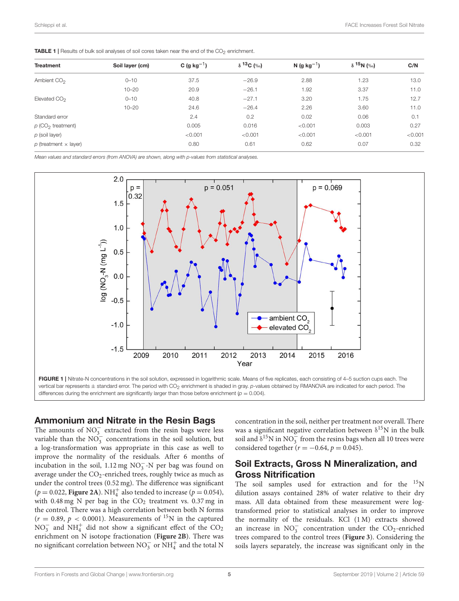<span id="page-4-0"></span>

| <b>TABLE 1</b>   Results of bulk soil analyses of soil cores taken near the end of the CO <sub>2</sub> enrichment. |  |
|--------------------------------------------------------------------------------------------------------------------|--|
|--------------------------------------------------------------------------------------------------------------------|--|

| <b>Treatment</b>                | Soil layer (cm) | C (g kg <sup>-1</sup> ) | $\delta$ <sup>13</sup> C (‰) | N (g $kg^{-1}$ ) | $\delta$ <sup>15</sup> N (%) | C/N     |
|---------------------------------|-----------------|-------------------------|------------------------------|------------------|------------------------------|---------|
|                                 |                 |                         |                              |                  |                              |         |
| Ambient CO <sub>2</sub>         | $0 - 10$        | 37.5                    | $-26.9$                      | 2.88             | 1.23                         | 13.0    |
|                                 | $10 - 20$       | 20.9                    | $-26.1$                      | 1.92             | 3.37                         | 11.0    |
| Elevated CO <sub>2</sub>        | $0 - 10$        | 40.8                    | $-27.1$                      | 3.20             | 1.75                         | 12.7    |
|                                 | $10 - 20$       | 24.6                    | $-26.4$                      | 2.26             | 3.60                         | 11.0    |
| Standard error                  |                 | 2.4                     | 0.2                          | 0.02             | 0.06                         | 0.1     |
| $p$ (CO <sub>2</sub> treatment) |                 | 0.005                   | 0.016                        | < 0.001          | 0.003                        | 0.27    |
| $p$ (soil layer)                |                 | < 0.001                 | < 0.001                      | < 0.001          | < 0.001                      | < 0.001 |
| $p$ (treatment $\times$ layer)  |                 | 0.80                    | 0.61                         | 0.62             | 0.07                         | 0.32    |

Mean values and standard errors (from ANOVA) are shown, along with p-values from statistical analyses.



#### <span id="page-4-1"></span>Ammonium and Nitrate in the Resin Bags

The amounts of  $NO_3^-$  extracted from the resin bags were less variable than the  $NO_3^-$  concentrations in the soil solution, but a log-transformation was appropriate in this case as well to improve the normality of the residuals. After 6 months of incubation in the soil,  $1.12 \text{ mg NO}_3^-$ -N per bag was found on average under the  $CO_2$ -enriched trees, roughly twice as much as under the control trees (0.52 mg). The difference was significant  $(p = 0.022,$  **[Figure 2A](#page-5-0)**). NH<sub>4</sub><sup>+</sup> also tended to increase ( $p = 0.054$ ), with  $0.48 \text{ mg}$  N per bag in the  $CO<sub>2</sub>$  treatment vs.  $0.37 \text{ mg}$  in the control. There was a high correlation between both N forms  $(r = 0.89, p < 0.0001)$ . Measurements of <sup>15</sup>N in the captured  $NO_3^-$  and  $NH_4^+$  did not show a significant effect of the  $CO_2$ enrichment on N isotope fractionation (**[Figure 2B](#page-5-0)**). There was no significant correlation between  $NO_3^-$  or  $NH_4^+$  and the total N

concentration in the soil, neither per treatment nor overall. There was a significant negative correlation between  $\delta^{15}N$  in the bulk soil and  $\delta^{15}$ N in NO<sub>3</sub> from the resins bags when all 10 trees were considered together ( $r = -0.64$ ,  $p = 0.045$ ).

## Soil Extracts, Gross N Mineralization, and Gross Nitrification

The soil samples used for extraction and for the <sup>15</sup>N dilution assays contained 28% of water relative to their dry mass. All data obtained from these measurement were logtransformed prior to statistical analyses in order to improve the normality of the residuals. KCl (1 M) extracts showed an increase in  $NO_3^-$  concentration under the  $CO_2$ -enriched trees compared to the control trees (**[Figure 3](#page-6-0)**). Considering the soils layers separately, the increase was significant only in the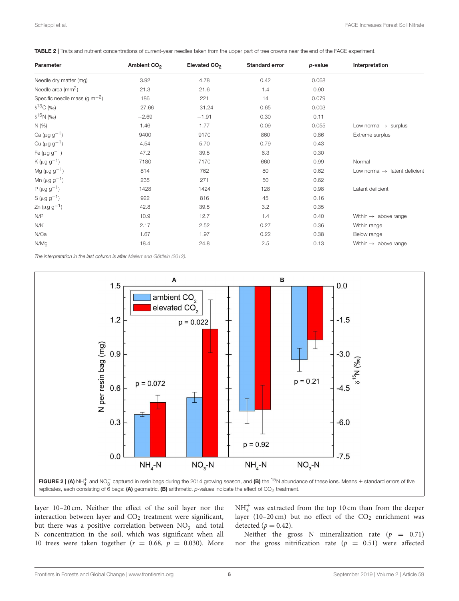<span id="page-5-1"></span>

|  |  |  |  | TABLE 2   Traits and nutrient concentrations of current-year needles taken from the upper part of tree crowns near the end of the FACE experiment. |
|--|--|--|--|----------------------------------------------------------------------------------------------------------------------------------------------------|
|--|--|--|--|----------------------------------------------------------------------------------------------------------------------------------------------------|

| Parameter                              | Ambient CO <sub>2</sub> | Elevated CO <sub>2</sub> | <b>Standard error</b> | p-value | Interpretation                            |
|----------------------------------------|-------------------------|--------------------------|-----------------------|---------|-------------------------------------------|
| Needle dry matter (mg)                 | 3.92                    | 4.78                     | 0.42                  | 0.068   |                                           |
| Needle area $\rm (mm^2)$               | 21.3                    | 21.6                     | 1.4                   | 0.90    |                                           |
| Specific needle mass (g $\rm m^{-2}$ ) | 186                     | 221                      | 14                    | 0.079   |                                           |
| $\delta^{13}$ C (‰)                    | $-27.66$                | $-31.24$                 | 0.65                  | 0.003   |                                           |
| $\delta^{15}N$ (‰)                     | $-2.69$                 | $-1.91$                  | 0.30                  | 0.11    |                                           |
| N(%                                    | 1.46                    | 1.77                     | 0.09                  | 0.055   | Low normal $\rightarrow$ surplus          |
| Ca ( $\mu$ g g <sup>-1</sup> )         | 9400                    | 9170                     | 860                   | 0.86    | Extreme surplus                           |
| Cu ( $\mu$ g g <sup>-1</sup> )         | 4.54                    | 5.70                     | 0.79                  | 0.43    |                                           |
| Fe ( $\mu$ g g <sup>-1</sup> )         | 47.2                    | 39.5                     | 6.3                   | 0.30    |                                           |
| $K(\mu g g^{-1})$                      | 7180                    | 7170                     | 660                   | 0.99    | Normal                                    |
| $Mg (\mu g g^{-1})$                    | 814                     | 762                      | 80                    | 0.62    | Low normal $\rightarrow$ latent deficient |
| Mn ( $\mu$ g g <sup>-1</sup> )         | 235                     | 271                      | 50                    | 0.62    |                                           |
| $P(\mu g g^{-1})$                      | 1428                    | 1424                     | 128                   | 0.98    | Latent deficient                          |
| $S(\mu g g^{-1})$                      | 922                     | 816                      | 45                    | 0.16    |                                           |
| $Zn (\mu g g^{-1})$                    | 42.8                    | 39.5                     | 3.2                   | 0.35    |                                           |
| N/P                                    | 10.9                    | 12.7                     | 1.4                   | 0.40    | Within $\rightarrow$ above range          |
| N/K                                    | 2.17                    | 2.52                     | 0.27                  | 0.36    | Within range                              |
| N/Ca                                   | 1.67                    | 1.97                     | 0.22                  | 0.38    | Below range                               |
| N/Mg                                   | 18.4                    | 24.8                     | 2.5                   | 0.13    | Within $\rightarrow$ above range          |

The interpretation in the last column is after [Mellert and Göttlein \(2012\)](#page-10-17).



<span id="page-5-0"></span>layer 10–20 cm. Neither the effect of the soil layer nor the interaction between layer and  $CO<sub>2</sub>$  treatment were significant, but there was a positive correlation between  $NO<sub>3</sub><sup>-</sup>$  and total N concentration in the soil, which was significant when all 10 trees were taken together ( $r = 0.68$ ,  $p = 0.030$ ). More

 $\mathrm{NH}_4^+$  was extracted from the top 10 cm than from the deeper layer (10-20 cm) but no effect of the  $CO<sub>2</sub>$  enrichment was detected  $(p = 0.42)$ .

Neither the gross N mineralization rate ( $p = 0.71$ ) nor the gross nitrification rate  $(p = 0.51)$  were affected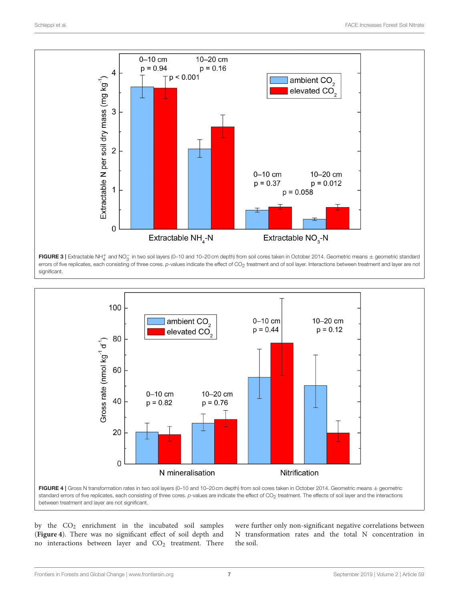

<span id="page-6-0"></span>FIGURE 3 | Extractable NH<sup>+</sup><sub>4</sub> and NO<sub>3</sub> in two soil layers (0-10 and 10-20 cm depth) from soil cores taken in October 2014. Geometric means  $\pm$  geometric standard errors of five replicates, each consisting of three cores. p-values indicate the effect of CO<sub>2</sub> treatment and of soil layer. Interactions between treatment and layer are not significant.



<span id="page-6-1"></span>between treatment and layer are not significant.

by the CO<sup>2</sup> enrichment in the incubated soil samples (**[Figure 4](#page-6-1)**). There was no significant effect of soil depth and no interactions between layer and  $CO<sub>2</sub>$  treatment. There were further only non-significant negative correlations between N transformation rates and the total N concentration in the soil.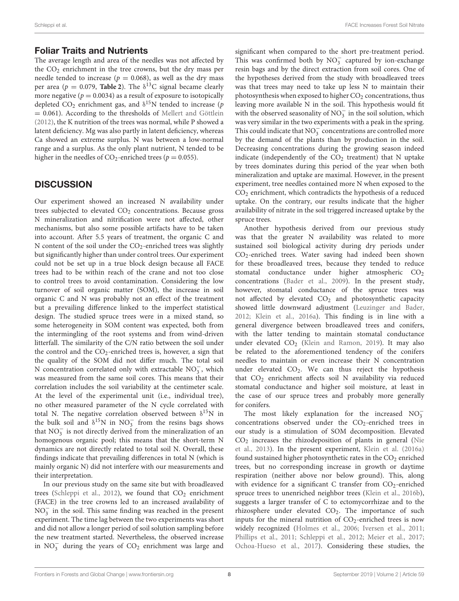## Foliar Traits and Nutrients

The average length and area of the needles was not affected by the  $CO<sub>2</sub>$  enrichment in the tree crowns, but the dry mass per needle tended to increase ( $p = 0.068$ ), as well as the dry mass per area ( $p = 0.079$ , **[Table 2](#page-5-1)**). The  $\delta^{13}$ C signal became clearly more negative ( $p = 0.0034$ ) as a result of exposure to isotopically depleted CO<sub>2</sub> enrichment gas, and  $\delta^{15}N$  tended to increase (*p*  $= 0.061$ ). According to the thresholds of [Mellert and Göttlein](#page-10-17) [\(2012\)](#page-10-17), the K nutrition of the trees was normal, while P showed a latent deficiency. Mg was also partly in latent deficiency, whereas Ca showed an extreme surplus. N was between a low-normal range and a surplus. As the only plant nutrient, N tended to be higher in the needles of  $CO_2$ -enriched trees ( $p = 0.055$ ).

# **DISCUSSION**

Our experiment showed an increased N availability under trees subjected to elevated  $CO<sub>2</sub>$  concentrations. Because gross N mineralization and nitrification were not affected, other mechanisms, but also some possible artifacts have to be taken into account. After 5.5 years of treatment, the organic C and N content of the soil under the  $CO_2$ -enriched trees was slightly but significantly higher than under control trees. Our experiment could not be set up in a true block design because all FACE trees had to be within reach of the crane and not too close to control trees to avoid contamination. Considering the low turnover of soil organic matter (SOM), the increase in soil organic C and N was probably not an effect of the treatment but a prevailing difference linked to the imperfect statistical design. The studied spruce trees were in a mixed stand, so some heterogeneity in SOM content was expected, both from the intermingling of the root systems and from wind-driven litterfall. The similarity of the C/N ratio between the soil under the control and the  $CO_2$ -enriched trees is, however, a sign that the quality of the SOM did not differ much. The total soil N concentration correlated only with extractable  $NO<sub>3</sub><sup>-</sup>$ , which was measured from the same soil cores. This means that their correlation includes the soil variability at the centimeter scale. At the level of the experimental unit (i.e., individual tree), no other measured parameter of the N cycle correlated with total N. The negative correlation observed between  $\delta^{15}N$  in the bulk soil and  $\delta^{15}N$  in NO<sub>3</sub> from the resins bags shows that  $NO<sub>3</sub><sup>-</sup>$  is not directly derived from the mineralization of an homogenous organic pool; this means that the short-term N dynamics are not directly related to total soil N. Overall, these findings indicate that prevailing differences in total N (which is mainly organic N) did not interfere with our measurements and their interpretation.

In our previous study on the same site but with broadleaved trees [\(Schleppi et al., 2012\)](#page-10-9), we found that  $CO<sub>2</sub>$  enrichment (FACE) in the tree crowns led to an increased availability of NO<sub>3</sub> in the soil. This same finding was reached in the present experiment. The time lag between the two experiments was short and did not allow a longer period of soil solution sampling before the new treatment started. Nevertheless, the observed increase in  $NO_3^-$  during the years of  $CO_2$  enrichment was large and

significant when compared to the short pre-treatment period. This was confirmed both by NO<sub>3</sub> captured by ion-exchange resin bags and by the direct extraction from soil cores. One of the hypotheses derived from the study with broadleaved trees was that trees may need to take up less N to maintain their photosynthesis when exposed to higher  $CO<sub>2</sub>$  concentrations, thus leaving more available N in the soil. This hypothesis would fit with the observed seasonality of  $NO_3^-$  in the soil solution, which was very similar in the two experiments with a peak in the spring. This could indicate that  $NO_3^-$  concentrations are controlled more by the demand of the plants than by production in the soil. Decreasing concentrations during the growing season indeed indicate (independently of the  $CO<sub>2</sub>$  treatment) that N uptake by trees dominates during this period of the year when both mineralization and uptake are maximal. However, in the present experiment, tree needles contained more N when exposed to the CO<sup>2</sup> enrichment, which contradicts the hypothesis of a reduced uptake. On the contrary, our results indicate that the higher availability of nitrate in the soil triggered increased uptake by the spruce trees.

Another hypothesis derived from our previous study was that the greater N availability was related to more sustained soil biological activity during dry periods under CO2-enriched trees. Water saving had indeed been shown for these broadleaved trees, because they tended to reduce stomatal conductance under higher atmospheric CO<sub>2</sub> concentrations [\(Bader et al., 2009\)](#page-9-18). In the present study, however, stomatal conductance of the spruce trees was not affected by elevated  $CO<sub>2</sub>$  and photosynthetic capacity showed little downward adjustment [\(Leuzinger and Bader,](#page-9-19) [2012;](#page-9-19) [Klein et al., 2016a\)](#page-9-20). This finding is in line with a general divergence between broadleaved trees and conifers, with the latter tending to maintain stomatal conductance under elevated  $CO<sub>2</sub>$  [\(Klein and Ramon, 2019\)](#page-9-21). It may also be related to the aforementioned tendency of the conifers needles to maintain or even increase their N concentration under elevated  $CO<sub>2</sub>$ . We can thus reject the hypothesis that  $CO<sub>2</sub>$  enrichment affects soil N availability via reduced stomatal conductance and higher soil moisture, at least in the case of our spruce trees and probably more generally for conifers.

The most likely explanation for the increased  $NO_3^$ concentrations observed under the  $CO_2$ -enriched trees in our study is a stimulation of SOM decomposition. Elevated  $CO<sub>2</sub>$  increases the rhizodeposition of plants in general (Nie) et al., [2013\)](#page-10-3). In the present experiment, [Klein et al. \(2016a\)](#page-9-20) found sustained higher photosynthetic rates in the  $CO<sub>2</sub>$  enriched trees, but no corresponding increase in growth or daytime respiration (neither above nor below ground). This, along with evidence for a significant C transfer from  $CO_2$ -enriched spruce trees to unenriched neighbor trees [\(Klein et al., 2016b\)](#page-9-22), suggests a larger transfer of C to ectomycorrhizae and to the rhizosphere under elevated  $CO<sub>2</sub>$ . The importance of such inputs for the mineral nutrition of  $CO<sub>2</sub>$ -enriched trees is now widely recognized [\(Holmes et al., 2006;](#page-9-11) [Iversen et al., 2011;](#page-9-10) [Phillips et al., 2011;](#page-10-7) [Schleppi et al., 2012;](#page-10-9) [Meier et al., 2017;](#page-9-23) [Ochoa-Hueso et al., 2017\)](#page-10-8). Considering these studies, the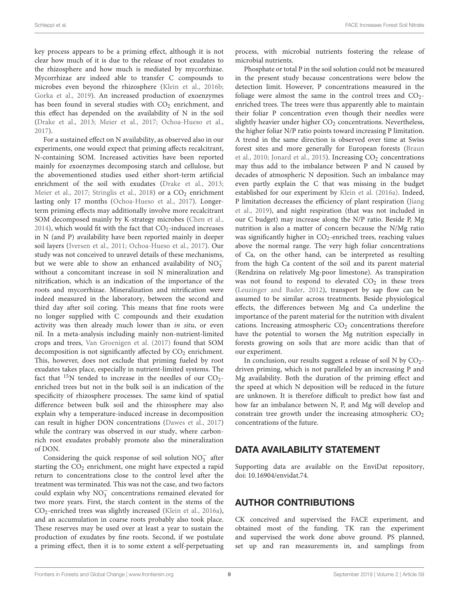key process appears to be a priming effect, although it is not clear how much of it is due to the release of root exudates to the rhizosphere and how much is mediated by mycorrhizae. Mycorrhizae are indeed able to transfer C compounds to microbes even beyond the rhizosphere [\(Klein et al., 2016b;](#page-9-22) [Gorka et al., 2019\)](#page-9-24). An increased production of exoenzymes has been found in several studies with  $CO<sub>2</sub>$  enrichment, and this effect has depended on the availability of N in the soil [\(Drake et al., 2013;](#page-9-25) [Meier et al., 2017;](#page-9-23) [Ochoa-Hueso et al.,](#page-10-8) [2017\)](#page-10-8).

For a sustained effect on N availability, as observed also in our experiments, one would expect that priming affects recalcitrant, N-containing SOM. Increased activities have been reported mainly for exoenzymes decomposing starch and cellulose, but the abovementioned studies used either short-term artificial enrichment of the soil with exudates [\(Drake et al., 2013;](#page-9-25) [Meier et al., 2017;](#page-9-23) [Stringlis et al., 2018\)](#page-10-18) or a CO<sub>2</sub> enrichment lasting only 17 months [\(Ochoa-Hueso et al., 2017\)](#page-10-8). Longerterm priming effects may additionally involve more recalcitrant SOM decomposed mainly by K-strategy microbes [\(Chen et al.,](#page-9-26) [2014\)](#page-9-26), which would fit with the fact that  $CO<sub>2</sub>$ -induced increases in N (and P) availability have been reported mainly in deeper soil layers [\(Iversen et al., 2011;](#page-9-10) [Ochoa-Hueso et al., 2017\)](#page-10-8). Our study was not conceived to unravel details of these mechanisms, but we were able to show an enhanced availability of  $NO_3^$ without a concomitant increase in soil N mineralization and nitrification, which is an indication of the importance of the roots and mycorrhizae. Mineralization and nitrification were indeed measured in the laboratory, between the second and third day after soil coring. This means that fine roots were no longer supplied with C compounds and their exudation activity was then already much lower than in situ, or even nil. In a meta-analysis including mainly non-nutrient-limited crops and trees, [Van Groenigen et al. \(2017\)](#page-10-19) found that SOM decomposition is not significantly affected by  $CO<sub>2</sub>$  enrichment. This, however, does not exclude that priming fueled by root exudates takes place, especially in nutrient-limited systems. The fact that  $15N$  tended to increase in the needles of our CO<sub>2</sub>enriched trees but not in the bulk soil is an indication of the specificity of rhizosphere processes. The same kind of spatial difference between bulk soil and the rhizosphere may also explain why a temperature-induced increase in decomposition can result in higher DON concentrations [\(Dawes et al., 2017\)](#page-9-27) while the contrary was observed in our study, where carbonrich root exudates probably promote also the mineralization of DON.

Considering the quick response of soil solution  $NO_3^-$  after starting the  $CO<sub>2</sub>$  enrichment, one might have expected a rapid return to concentrations close to the control level after the treatment was terminated. This was not the case, and two factors could explain why NO<sup>−</sup> 3 concentrations remained elevated for two more years. First, the starch content in the stems of the CO2-enriched trees was slightly increased [\(Klein et al., 2016a\)](#page-9-20), and an accumulation in coarse roots probably also took place. These reserves may be used over at least a year to sustain the production of exudates by fine roots. Second, if we postulate a priming effect, then it is to some extent a self-perpetuating process, with microbial nutrients fostering the release of microbial nutrients.

Phosphate or total P in the soil solution could not be measured in the present study because concentrations were below the detection limit. However, P concentrations measured in the foliage were almost the same in the control trees and  $CO<sub>2</sub>$ enriched trees. The trees were thus apparently able to maintain their foliar P concentration even though their needles were slightly heavier under higher  $CO<sub>2</sub>$  concentrations. Nevertheless, the higher foliar N/P ratio points toward increasing P limitation. A trend in the same direction is observed over time at Swiss forest sites and more generally for European forests (Braun et al., [2010;](#page-9-28) [Jonard et al., 2015\)](#page-9-29). Increasing CO<sub>2</sub> concentrations may thus add to the imbalance between P and N caused by decades of atmospheric N deposition. Such an imbalance may even partly explain the C that was missing in the budget established for our experiment by [Klein et al. \(2016a\)](#page-9-20). Indeed, P limitation decreases the efficiency of plant respiration (Jiang et al., [2019\)](#page-9-30), and night respiration (that was not included in our C budget) may increase along the N/P ratio. Beside P, Mg nutrition is also a matter of concern because the N/Mg ratio was significantly higher in  $CO_2$ -enriched trees, reaching values above the normal range. The very high foliar concentrations of Ca, on the other hand, can be interpreted as resulting from the high Ca content of the soil and its parent material (Rendzina on relatively Mg-poor limestone). As transpiration was not found to respond to elevated  $CO<sub>2</sub>$  in these trees [\(Leuzinger and Bader, 2012\)](#page-9-19), transport by sap flow can be assumed to be similar across treatments. Beside physiological effects, the differences between Mg and Ca underline the importance of the parent material for the nutrition with divalent cations. Increasing atmospheric  $CO<sub>2</sub>$  concentrations therefore have the potential to worsen the Mg nutrition especially in forests growing on soils that are more acidic than that of our experiment.

In conclusion, our results suggest a release of soil N by  $CO<sub>2</sub>$ driven priming, which is not paralleled by an increasing P and Mg availability. Both the duration of the priming effect and the speed at which N deposition will be reduced in the future are unknown. It is therefore difficult to predict how fast and how far an imbalance between N, P, and Mg will develop and constrain tree growth under the increasing atmospheric  $CO<sub>2</sub>$ concentrations of the future.

## DATA AVAILABILITY STATEMENT

Supporting data are available on the EnviDat repository, doi: [10.16904/envidat.74.](https://doi.org/10.16904/envidat.74)

## AUTHOR CONTRIBUTIONS

CK conceived and supervised the FACE experiment, and obtained most of the funding. TK ran the experiment and supervised the work done above ground. PS planned, set up and ran measurements in, and samplings from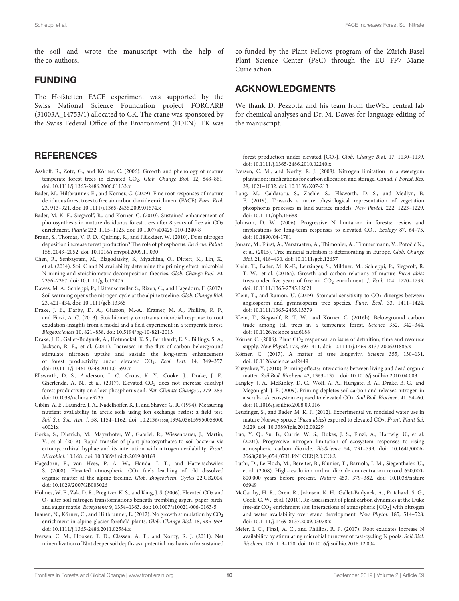the soil and wrote the manuscript with the help of the co-authors.

## FUNDING

The Hofstetten FACE experiment was supported by the Swiss National Science Foundation project FORCARB (31003A\_14753/1) allocated to CK. The crane was sponsored by the Swiss Federal Office of the Environment (FOEN). TK was

## **REFERENCES**

- <span id="page-9-16"></span>Asshoff, R., Zotz, G., and Körner, C. (2006). Growth and phenology of mature temperate forest trees in elevated CO<sub>2</sub>. Glob. Change Biol. 12, 848-861. doi: [10.1111/j.1365-2486.2006.01133.x](https://doi.org/10.1111/j.1365-2486.2006.01133.x)
- <span id="page-9-18"></span>Bader, M., Hiltbrunner, E., and Körner, C. (2009). Fine root responses of mature deciduous forest trees to free air carbon dioxide enrichment (FACE). Func. Ecol. 23, 913–921. doi: [10.1111/j.1365-2435.2009.01574.x](https://doi.org/10.1111/j.1365-2435.2009.01574.x)
- <span id="page-9-8"></span>Bader, M. K.-F., Siegwolf, R., and Körner, C. (2010). Sustained enhancement of photosynthesis in mature deciduous forest trees after 8 years of free air  $CO<sub>2</sub>$ enrichment. Planta 232, 1115–1125. doi: [10.1007/s00425-010-1240-8](https://doi.org/10.1007/s00425-010-1240-8)
- <span id="page-9-28"></span>Braun, S., Thomas, V. F. D., Quiring, R., and Flückiger, W. (2010). Does nitrogen deposition increase forest production? The role of phosphorus. Environ. Pollut. 158, 2043–2052. doi: [10.1016/j.envpol.2009.11.030](https://doi.org/10.1016/j.envpol.2009.11.030)
- <span id="page-9-26"></span>Chen, R., Senbayram, M., Blagodatsky, S., Myachina, O., Dittert, K., Lin, X., et al. (2014). Soil C and N availability determine the priming effect: microbial N mining and stoichiometric decomposition theories. Glob. Change Biol. 20, 2356–2367. doi: [10.1111/gcb.12475](https://doi.org/10.1111/gcb.12475)
- <span id="page-9-27"></span>Dawes, M. A., Schleppi, P., Hättenschwiler, S., Rixen, C., and Hagedorn, F. (2017). Soil warming opens the nitrogen cycle at the alpine treeline. Glob. Change Biol. 23, 421–434. doi: [10.1111/gcb.13365](https://doi.org/10.1111/gcb.13365)
- <span id="page-9-25"></span>Drake, J. E., Darby, D. A., Giasson, M.-A., Kramer, M. A., Phillips, R. P., and Finzi, A. C. (2013). Stoichiometry constrains microbial response to root exudation-insights from a model and a field experiment in a temperate forest. Biogeosciences 10, 821–838. doi: [10.5194/bg-10-821-2013](https://doi.org/10.5194/bg-10-821-2013)
- <span id="page-9-12"></span>Drake, J. E., Gallet-Budynek, A., Hofmockel, K. S., Bernhardt, E. S., Billings, S. A., Jackson, R. B., et al. (2011). Increases in the flux of carbon belowground stimulate nitrogen uptake and sustain the long-term enhancement of forest productivity under elevated CO<sub>2</sub>. Ecol. Lett. 14, 349-357. doi: [10.1111/j.1461-0248.2011.01593.x](https://doi.org/10.1111/j.1461-0248.2011.01593.x)
- <span id="page-9-4"></span>Ellsworth, D. S., Anderson, I. C., Crous, K. Y., Cooke, J., Drake, J. E., Gherlenda, A. N., et al. (2017). Elevated  $CO<sub>2</sub>$  does not increase eucalypt forest productivity on a low-phosphorus soil. Nat. Climate Change 7, 279–283. doi: [10.1038/nclimate3235](https://doi.org/10.1038/nclimate3235)
- <span id="page-9-17"></span>Giblin, A. E., Laundre, J. A., Nadelhoffer, K. J., and Shaver, G. R. (1994). Measuring nutrient availability in arctic soils using ion exchange resins: a field test. Soil Sci. Soc. Am. J. [58, 1154–1162. doi: 10.2136/sssaj1994.036159950058000](https://doi.org/10.2136/sssaj1994.03615995005800040021x) 40021x
- <span id="page-9-24"></span>Gorka, S., Dietrich, M., Mayerhofer, W., Gabriel, R., Wiesenbauer, J., Martin, V., et al. (2019). Rapid transfer of plant photosynthates to soil bacteria via ectomycorrhizal hyphae and its interaction with nitrogen availability. Front. Microbiol. 10:168. doi: [10.3389/fmicb.2019.00168](https://doi.org/10.3389/fmicb.2019.00168)
- <span id="page-9-14"></span>Hagedorn, F., van Hees, P. A. W., Handa, I. T., and Hättenschwiler, S. (2008). Elevated atmospheric  $CO<sub>2</sub>$  fuels leaching of old dissolved organic matter at the alpine treeline. Glob. Biogeochem. Cycles 22:GB2004. doi: [10.1029/2007GB003026](https://doi.org/10.1029/2007GB003026)
- <span id="page-9-11"></span>Holmes, W. E., Zak, D. R., Pregitzer, K. S., and King, J. S. (2006). Elevated CO<sub>2</sub> and O<sup>3</sup> alter soil nitrogen transformations beneath trembling aspen, paper birch, and sugar maple. Ecosystems 9, 1354–1363. doi: [10.1007/s10021-006-0163-5](https://doi.org/10.1007/s10021-006-0163-5)
- <span id="page-9-6"></span>Inauen, N., Körner, C., and Hiltbrunner, E. (2012). No growth stimulation by  $CO<sub>2</sub>$ enrichment in alpine glacier forefield plants. Glob. Change Biol. 18, 985–999. doi: [10.1111/j.1365-2486.2011.02584.x](https://doi.org/10.1111/j.1365-2486.2011.02584.x)
- <span id="page-9-10"></span>Iversen, C. M., Hooker, T. D., Classen, A. T., and Norby, R. J. (2011). Net mineralization of N at deeper soil depths as a potential mechanism for sustained

co-funded by the Plant Fellows program of the Zürich-Basel Plant Science Center (PSC) through the EU FP7 Marie Curie action.

## ACKNOWLEDGMENTS

We thank D. Pezzotta and his team from theWSL central lab for chemical analyses and Dr. M. Dawes for language editing of the manuscript.

forest production under elevated [CO<sub>2</sub>]. Glob. Change Biol. 17, 1130-1139. doi: [10.1111/j.1365-2486.2010.02240.x](https://doi.org/10.1111/j.1365-2486.2010.02240.x)

- <span id="page-9-3"></span>Iversen, C. M., and Norby, R. J. (2008). Nitrogen limitation in a sweetgum plantation: implications for carbon allocation and storage. Canad. J. Forest. Res. 38, 1021–1032. doi: [10.1139/X07-213](https://doi.org/10.1139/X07-213)
- <span id="page-9-30"></span>Jiang, M., Caldararu, S., Zaehle, S., Ellsworth, D. S., and Medlyn, B. E. (2019). Towards a more physiological representation of vegetation phosphorus processes in land surface models. New Phytol. 222, 1223–1229. doi: [10.1111/nph.15688](https://doi.org/10.1111/nph.15688)
- <span id="page-9-9"></span>Johnson, D. W. (2006). Progressive N limitation in forests: review and implications for long-term responses to elevated  $CO<sub>2</sub>$ . Ecology 87, 64-75. doi: [10.1890/04-1781](https://doi.org/10.1890/04-1781)
- <span id="page-9-29"></span>Jonard, M., Fürst, A., Verstraeten, A., Thimonier, A., Timmermann, V., Potočić N., et al. (2015). Tree mineral nutrition is deteriorating in Europe. Glob. Change Biol. 21, 418–430. doi: [10.1111/gcb.12657](https://doi.org/10.1111/gcb.12657)
- <span id="page-9-20"></span>Klein, T., Bader, M. K.-F., Leuzinger, S., Mildner, M., Schleppi, P., Siegwolf, R. T. W., et al. (2016a). Growth and carbon relations of mature Picea abies trees under five years of free air CO<sub>2</sub> enrichment. J. Ecol. 104, 1720-1733. doi: [10.1111/1365-2745.12621](https://doi.org/10.1111/1365-2745.12621)
- <span id="page-9-21"></span>Klein, T., and Ramon, U. (2019). Stomatal sensitivity to  $CO<sub>2</sub>$  diverges between angiosperm and gymnosperm tree species. Func. Ecol. 33, 1411–1424. doi: [10.1111/1365-2435.13379](https://doi.org/10.1111/1365-2435.13379)
- <span id="page-9-22"></span>Klein, T., Siegwolf, R. T. W., and Körner, C. (2016b). Belowground carbon trade among tall trees in a temperate forest. Science 352, 342–344. doi: [10.1126/science.aad6188](https://doi.org/10.1126/science.aad6188)
- <span id="page-9-2"></span>Körner, C. (2006). Plant CO<sub>2</sub> responses: an issue of definition, time and resource supply. New Phytol. 172, 393–411. doi: [10.1111/j.1469-8137.2006.01886.x](https://doi.org/10.1111/j.1469-8137.2006.01886.x)
- <span id="page-9-1"></span>Körner, C. (2017). A matter of tree longevity. Science 355, 130–131. doi: [10.1126/science.aal2449](https://doi.org/10.1126/science.aal2449)
- <span id="page-9-15"></span>Kuzyakov, Y. (2010). Priming effects: interactions between living and dead organic matter. Soil Biol. Biochem. 42, 1363–1371. doi: [10.1016/j.soilbio.2010.04.003](https://doi.org/10.1016/j.soilbio.2010.04.003)
- <span id="page-9-13"></span>Langley, J. A., McKinley, D. C., Wolf, A. A., Hungate, B. A., Drake, B. G., and Megonigal, J. P. (2009). Priming depletes soil carbon and releases nitrogen in a scrub-oak ecosystem exposed to elevated CO<sub>2</sub>. Soil Biol. Biochem. 41, 54-60. doi: [10.1016/j.soilbio.2008.09.016](https://doi.org/10.1016/j.soilbio.2008.09.016)
- <span id="page-9-19"></span>Leuzinger, S., and Bader, M. K. F. (2012). Experimental vs. modeled water use in mature Norway spruce (Picea abies) exposed to elevated  $CO<sub>2</sub>$ . Front. Plant Sci. 3:229. doi: [10.3389/fpls.2012.00229](https://doi.org/10.3389/fpls.2012.00229)
- <span id="page-9-5"></span>Luo, Y. Q., Su, B., Currie, W. S., Dukes, J. S., Finzi, A., Hartwig, U., et al. (2004). Progressive nitrogen limitation of ecosystem responses to rising atmospheric carbon dioxide. BioScience 54, 731–739. doi: 10.1641/0006- [3568\(2004\)054\[0731:PNLOER\]2.0.CO;2](https://doi.org/10.1641/0006-3568(2004)054[0731:PNLOER]2.0.CO;2)
- <span id="page-9-0"></span>Lüthi, D., Le Floch, M., Bereiter, B., Blunier, T., Barnola, J.-M., Siegenthaler, U., et al. (2008). High-resolution carbon dioxide concentration record 650,000- 800,000 years before present. Nature [453, 379–382. doi: 10.1038/nature](https://doi.org/10.1038/nature06949) 06949
- <span id="page-9-7"></span>McCarthy, H. R., Oren, R., Johnsen, K. H., Gallet-Budynek, A., Pritchard, S. G., Cook, C. W., et al. (2010). Re-assessment of plant carbon dynamics at the Duke free-air CO<sub>2</sub> enrichment site: interactions of atmospheric [CO<sub>2</sub>] with nitrogen and water availability over stand development. New Phytol. 185, 514–528. doi: [10.1111/j.1469-8137.2009.03078.x](https://doi.org/10.1111/j.1469-8137.2009.03078.x)
- <span id="page-9-23"></span>Meier, I. C., Finzi, A. C., and Phillips, R. P. (2017). Root exudates increase N availability by stimulating microbial turnover of fast-cycling N pools. Soil Biol. Biochem. 106, 119–128. doi: [10.1016/j.soilbio.2016.12.004](https://doi.org/10.1016/j.soilbio.2016.12.004)